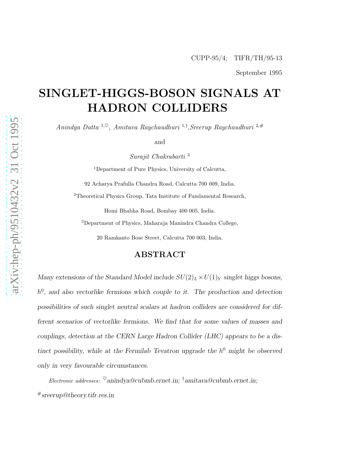September 1995

# SINGLET-HIGGS-BOSON SIGNALS AT HADRON COLLIDERS

Anindya Datta  $1,\heartsuit$ , Amitava Raychaudhuri  $1,\dagger$ , Sreerup Raychaudhuri  $2,\#$ 

and

Surajit Chakrabarti <sup>3</sup>

<sup>1</sup>Department of Pure Physics, University of Calcutta,

92 Acharya Prafulla Chandra Road, Calcutta 700 009, India.

<sup>2</sup>Theoretical Physics Group, Tata Institute of Fundamental Research,

Homi Bhabha Road, Bombay 400 005, India.

<sup>3</sup>Department of Physics, Maharaja Manindra Chandra College,

20 Ramkanto Bose Street, Calcutta 700 003, India.

#### ABSTRACT

Many extensions of the Standard Model include  $SU(2)_L\times U(1)_Y$  singlet higgs bosons,  $h^0$ , and also vectorlike fermions which couple to it. The production and detection possibilities of such singlet neutral scalars at hadron colliders are considered for different scenarios of vectorlike fermions. We find that for some values of masses and couplings, detection at the CERN Large Hadron Collider (LHC) appears to be a distinct possibility, while at the Fermilab Tevatron upgrade the  $h^0$  might be observed only in very favourable circumstances.

Electronic addresses:  $\mathcal{O}$ anindya@cubmb.ernet.in; †amitava@cubmb.ernet.in; #sreerup@theory.tifr.res.in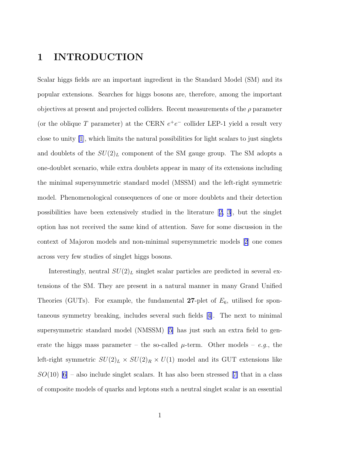# 1 INTRODUCTION

Scalar higgs fields are an important ingredient in the Standard Model (SM) and its popular extensions. Searches for higgs bosons are, therefore, among the important objectives at present and projected colliders. Recent measurements of the  $\rho$  parameter (or the oblique T parameter) at the CERN  $e^+e^-$  collider LEP-1 yield a result very close to unity [\[1](#page-25-0)], which limits the natural possibilities for light scalars to just singlets and doublets of the  $SU(2)_L$  component of the SM gauge group. The SM adopts a one-doublet scenario, while extra doublets appear in many of its extensions including the minimal supersymmetric standard model (MSSM) and the left-right symmetric model. Phenomenological consequences of one or more doublets and their detection possibilities have been extensively studied in the literature[[2, 3](#page-25-0)], but the singlet option has not received the same kind of attention. Save for some discussion in the context of Majoron models and non-minimal supersymmetric models [[2](#page-25-0)] one comes across very few studies of singlet higgs bosons.

Interestingly, neutral  $SU(2)_L$  singlet scalar particles are predicted in several extensions of the SM. They are present in a natural manner in many Grand Unified Theories (GUTs). For example, the fundamental 27-plet of  $E_6$ , utilised for spontaneous symmetry breaking, includes several such fields[[4\]](#page-25-0). The next to minimal supersymmetric standard model (NMSSM) [\[5](#page-25-0)] has just such an extra field to generate the higgs mass parameter – the so-called  $\mu$ -term. Other models – e.g., the left-right symmetric  $SU(2)_L \times SU(2)_R \times U(1)$  model and its GUT extensions like  $SO(10)$  [\[6](#page-25-0)]– also include singlet scalars. It has also been stressed [[7\]](#page-25-0) that in a class of composite models of quarks and leptons such a neutral singlet scalar is an essential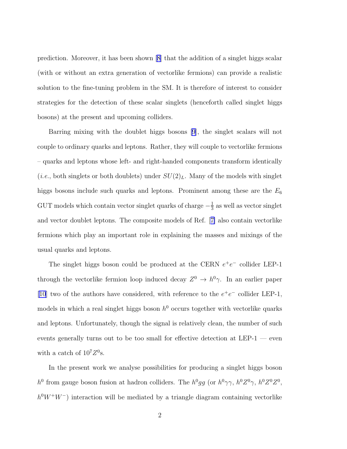prediction. Moreover, it has been shown [\[8](#page-25-0)] that the addition of a singlet higgs scalar (with or without an extra generation of vectorlike fermions) can provide a realistic solution to the fine-tuning problem in the SM. It is therefore of interest to consider strategies for the detection of these scalar singlets (henceforth called singlet higgs bosons) at the present and upcoming colliders.

Barring mixing with the doublet higgs bosons [\[9\]](#page-25-0), the singlet scalars will not couple to ordinary quarks and leptons. Rather, they will couple to vectorlike fermions – quarks and leptons whose left- and right-handed components transform identically (*i.e.*, both singlets or both doublets) under  $SU(2)_L$ . Many of the models with singlet higgs bosons include such quarks and leptons. Prominent among these are the  $E_6$ GUT models which contain vector singlet quarks of charge  $-\frac{1}{3}$  $\frac{1}{3}$  as well as vector singlet and vector doublet leptons. The composite models of Ref.[[7\]](#page-25-0) also contain vectorlike fermions which play an important role in explaining the masses and mixings of the usual quarks and leptons.

The singlet higgs boson could be produced at the CERN  $e^+e^-$  collider LEP-1 through the vectorlike fermion loop induced decay  $Z^0 \to h^0 \gamma$ . In an earlier paper [\[10\]](#page-26-0) two of the authors have considered, with reference to the  $e^+e^-$  collider LEP-1, models in which a real singlet higgs boson  $h^0$  occurs together with vectorlike quarks and leptons. Unfortunately, though the signal is relatively clean, the number of such events generally turns out to be too small for effective detection at LEP-1 — even with a catch of  $10^7 Z^0$ s.

In the present work we analyse possibilities for producing a singlet higgs boson h<sup>0</sup> from gauge boson fusion at hadron colliders. The  $h^0gg$  (or  $h^0\gamma\gamma$ ,  $h^0Z^0\gamma$ ,  $h^0Z^0Z^0$ ,  $h^0W^+W^-$ ) interaction will be mediated by a triangle diagram containing vectorlike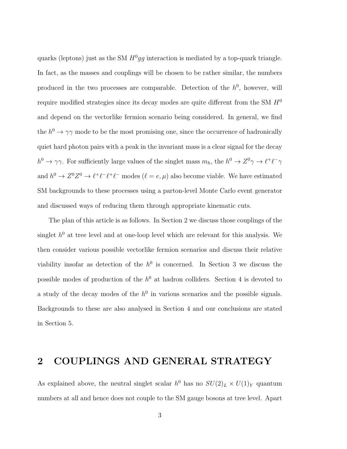quarks (leptons) just as the SM  $H^0 gg$  interaction is mediated by a top-quark triangle. In fact, as the masses and couplings will be chosen to be rather similar, the numbers produced in the two processes are comparable. Detection of the  $h^0$ , however, will require modified strategies since its decay modes are quite different from the SM  $H^0$ and depend on the vectorlike fermion scenario being considered. In general, we find the  $h^0 \to \gamma \gamma$  mode to be the most promising one, since the occurrence of hadronically quiet hard photon pairs with a peak in the invariant mass is a clear signal for the decay  $h^0 \to \gamma\gamma$ . For sufficiently large values of the singlet mass  $m_h$ , the  $h^0 \to Z^0\gamma \to \ell^+\ell^-\gamma$ and  $h^0 \to Z^0 Z^0 \to \ell^+ \ell^- \ell^+ \ell^-$  modes  $(\ell = e, \mu)$  also become viable. We have estimated SM backgrounds to these processes using a parton-level Monte Carlo event generator and discussed ways of reducing them through appropriate kinematic cuts.

The plan of this article is as follows. In Section 2 we discuss those couplings of the singlet  $h^0$  at tree level and at one-loop level which are relevant for this analysis. We then consider various possible vectorlike fermion scenarios and discuss their relative viability insofar as detection of the  $h^0$  is concerned. In Section 3 we discuss the possible modes of production of the  $h^0$  at hadron colliders. Section 4 is devoted to a study of the decay modes of the  $h^0$  in various scenarios and the possible signals. Backgrounds to these are also analysed in Section 4 and our conclusions are stated in Section 5.

#### 2 COUPLINGS AND GENERAL STRATEGY

As explained above, the neutral singlet scalar  $h^0$  has no  $SU(2)_L \times U(1)_Y$  quantum numbers at all and hence does not couple to the SM gauge bosons at tree level. Apart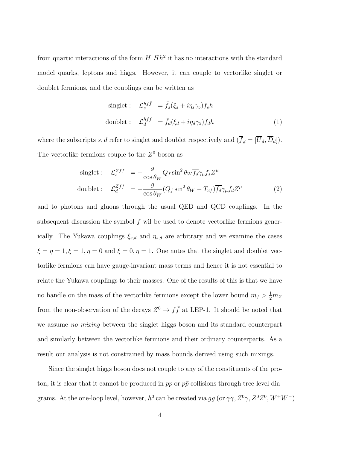from quartic interactions of the form  $H^{\dagger}Hh^2$  it has no interactions with the standard model quarks, leptons and higgs. However, it can couple to vectorlike singlet or doublet fermions, and the couplings can be written as

singlet: 
$$
\mathcal{L}_s^{hf\bar{f}} = \bar{f}_s(\xi_s + i\eta_s \gamma_5) f_s h
$$
  
doublet:  $\mathcal{L}_d^{hf\bar{f}} = \bar{f}_d(\xi_d + i\eta_d \gamma_5) f_d h$  (1)

where the subscripts s, d refer to singlet and doublet respectively and  $(\overline{f}_d = [\overline{U}_d, \overline{D}_d])$ . The vectorlike fermions couple to the  $Z^0$  boson as

$$
\text{singlet}: \quad \mathcal{L}_s^{Zf\bar{f}} = -\frac{g}{\cos\theta_W} Q_f \sin^2\theta_W \overline{f_s} \gamma_\mu f_s Z^\mu
$$
\n
$$
\text{doublet}: \quad \mathcal{L}_d^{Zf\bar{f}} = -\frac{g}{\cos\theta_W} (Q_f \sin^2\theta_W - T_{3f}) \overline{f_d} \gamma_\mu f_d Z^\mu \tag{2}
$$

and to photons and gluons through the usual QED and QCD couplings. In the subsequent discussion the symbol  $f$  wil be used to denote vectorlike fermions generically. The Yukawa couplings  $\xi_{s,d}$  and  $\eta_{s,d}$  are arbitrary and we examine the cases  $\xi=\eta=1, \xi=1, \eta=0$  and  $\xi=0, \eta=1.$  One notes that the singlet and doublet vectorlike fermions can have gauge-invariant mass terms and hence it is not essential to relate the Yukawa couplings to their masses. One of the results of this is that we have no handle on the mass of the vectorlike fermions except the lower bound  $m_f > \frac{1}{2}m_Z$ from the non-observation of the decays  $Z^0 \to f\bar{f}$  at LEP-1. It should be noted that we assume *no mixing* between the singlet higgs boson and its standard counterpart and similarly between the vectorlike fermions and their ordinary counterparts. As a result our analysis is not constrained by mass bounds derived using such mixings.

Since the singlet higgs boson does not couple to any of the constituents of the proton, it is clear that it cannot be produced in pp or  $p\bar{p}$  collisions through tree-level diagrams. At the one-loop level, however,  $h^0$  can be created via gg (or  $\gamma\gamma$ ,  $Z^0\gamma$ ,  $Z^0Z^0$ ,  $W^+W^-$ )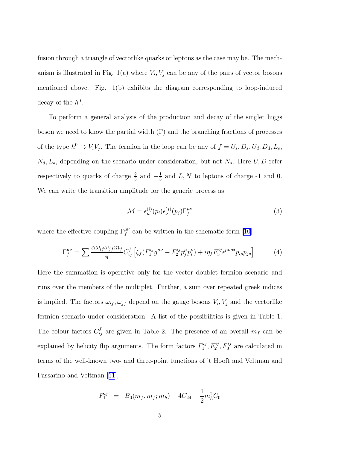<span id="page-5-0"></span>fusion through a triangle of vectorlike quarks or leptons as the case may be. The mechanism is illustrated in Fig. 1(a) where  $V_i$ ,  $V_j$  can be any of the pairs of vector bosons mentioned above. Fig. 1(b) exhibits the diagram corresponding to loop-induced decay of the  $h^0$ .

To perform a general analysis of the production and decay of the singlet higgs boson we need to know the partial width  $(\Gamma)$  and the branching fractions of processes of the type  $h^0 \to V_i V_j$ . The fermion in the loop can be any of  $f = U_s, D_s, U_d, D_d, L_s$ ,  $N_d, L_d$ , depending on the scenario under consideration, but not  $N_s$ . Here  $U, D$  refer respectively to quarks of charge  $\frac{2}{3}$  and  $-\frac{1}{3}$  $\frac{1}{3}$  and L, N to leptons of charge -1 and 0. We can write the transition amplitude for the generic process as

$$
\mathcal{M} = \epsilon_{\mu}^{(i)}(p_i)\epsilon_{\nu}^{(j)}(p_j)\Gamma_f^{\mu\nu}
$$
\n(3)

where the effective coupling  $\Gamma_f^{\mu\nu}$  can be written in the schematic form [\[10\]](#page-26-0)

$$
\Gamma_f^{\mu\nu} = \sum \frac{\alpha \omega_{if} \omega_{jf} m_f}{\pi} C_{ij}^f \left[ \xi_f (F_1^{ij} g^{\mu\nu} - F_2^{ij} p_j^{\mu} p_i^{\nu}) + i \eta_f F_3^{ij} \epsilon^{\mu\nu\rho\delta} p_{i\rho} p_{j\delta} \right]. \tag{4}
$$

Here the summation is operative only for the vector doublet fermion scenario and runs over the members of the multiplet. Further, a sum over repeated greek indices is implied. The factors  $\omega_{if}, \omega_{jf}$  depend on the gauge bosons  $V_i, V_j$  and the vectorlike fermion scenario under consideration. A list of the possibilities is given in Table 1. The colour factors  $C_{ij}^f$  are given in Table 2. The presence of an overall  $m_f$  can be explained by helicity flip arguments. The form factors  $F_1^{ij}$  $I_1^{ij}, I_2^{ij}, I_3^{ij}$  are calculated in terms of the well-known two- and three-point functions of 't Hooft and Veltman and Passarino and Veltman[[11](#page-26-0)],

$$
F_1^{ij} = B_0(m_f, m_f; m_h) - 4C_{24} - \frac{1}{2}m_h^2 C_0
$$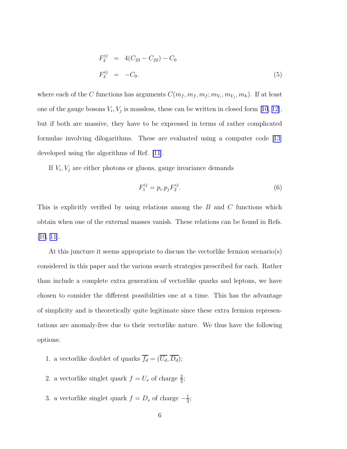$$
F_2^{ij} = 4(C_{23} - C_{22}) - C_0
$$
  
\n
$$
F_3^{ij} = -C_0.
$$
\n(5)

<span id="page-6-0"></span>where each of the C functions has arguments  $C(m_f, m_f, m_f; m_{V_i}, m_{V_j}, m_h)$ . If at least oneof the gauge bosons  $V_i$ ,  $V_j$  is massless, these can be written in closed form [[10](#page-26-0), [12\]](#page-26-0), but if both are massive, they have to be expressed in terms of rather complicated formulae involving dilogarithms. These are evaluated using a computer code [\[13\]](#page-26-0) developed using the algorithms of Ref. [\[11](#page-26-0)].

If  $V_i$ ,  $V_j$  are either photons or gluons, gauge invariance demands

$$
F_1^{ij} = p_i \cdot p_j F_2^{ij}.\tag{6}
$$

This is explicitly verified by using relations among the B and C functions which obtain when one of the external masses vanish. These relations can be found in Refs. [\[10](#page-26-0), [11\]](#page-26-0).

At this juncture it seems appropriate to discuss the vectorlike fermion scenario(s) considered in this paper and the various search strategies prescribed for each. Rather than include a complete extra generation of vectorlike quarks and leptons, we have chosen to consider the different possibilities one at a time. This has the advantage of simplicity and is theoretically quite legitimate since these extra fermion representations are anomaly-free due to their vectorlike nature. We thus have the following options:

- 1. a vectorlike doublet of quarks  $\overline{f_d} = (\overline{U_d}, \overline{D_d})$ ;
- 2. a vectorlike singlet quark  $f = U_s$  of charge  $\frac{2}{3}$ ;
- 3. a vectorlike singlet quark  $f = D_s$  of charge  $-\frac{1}{3}$  $\frac{1}{3}$ ;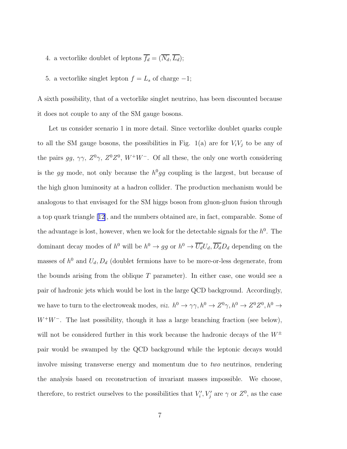- 4. a vectorlike doublet of leptons  $\overline{f_d} = (\overline{N_d}, \overline{L_d})$ ;
- 5. a vectorlike singlet lepton  $f = L_s$  of charge  $-1$ ;

A sixth possibility, that of a vectorlike singlet neutrino, has been discounted because it does not couple to any of the SM gauge bosons.

Let us consider scenario 1 in more detail. Since vectorlike doublet quarks couple to all the SM gauge bosons, the possibilities in Fig.  $1(a)$  are for  $V_iV_j$  to be any of the pairs gg,  $\gamma\gamma$ ,  $Z^0\gamma$ ,  $Z^0Z^0$ ,  $W^+W^-$ . Of all these, the only one worth considering is the gg mode, not only because the  $h^0 gg$  coupling is the largest, but because of the high gluon luminosity at a hadron collider. The production mechanism would be analogous to that envisaged for the SM higgs boson from gluon-gluon fusion through a top quark triangle [\[12\]](#page-26-0), and the numbers obtained are, in fact, comparable. Some of the advantage is lost, however, when we look for the detectable signals for the  $h^0$ . The dominant decay modes of  $h^0$  will be  $h^0 \to gg$  or  $h^0 \to \overline{U_d} U_d$ ,  $\overline{D_d} D_d$  depending on the masses of  $h^0$  and  $U_d, D_d$  (doublet fermions have to be more-or-less degenerate, from the bounds arising from the oblique  $T$  parameter). In either case, one would see a pair of hadronic jets which would be lost in the large QCD background. Accordingly, we have to turn to the electroweak modes, *viz.*  $h^0 \to \gamma \gamma$ ,  $h^0 \to Z^0 \gamma$ ,  $h^0 \to Z^0 Z^0$ ,  $h^0 \to$  $W^+W^-$ . The last possibility, though it has a large branching fraction (see below), will not be considered further in this work because the hadronic decays of the  $W^{\pm}$ pair would be swamped by the QCD background while the leptonic decays would involve missing transverse energy and momentum due to two neutrinos, rendering the analysis based on reconstruction of invariant masses impossible. We choose, therefore, to restrict ourselves to the possibilities that  $V_i', V_j'$  are  $\gamma$  or  $Z^0$ , as the case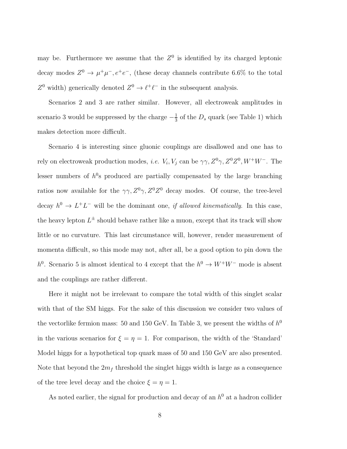may be. Furthermore we assume that the  $Z<sup>0</sup>$  is identified by its charged leptonic decay modes  $Z^0 \to \mu^+ \mu^-, e^+ e^-$ , (these decay channels contribute 6.6% to the total  $Z^0$  width) generically denoted  $Z^0 \to \ell^+ \ell^-$  in the subsequent analysis.

Scenarios 2 and 3 are rather similar. However, all electroweak amplitudes in scenario 3 would be suppressed by the charge  $-\frac{1}{3}$  $\frac{1}{3}$  of the  $D_s$  quark (see Table 1) which makes detection more difficult.

Scenario 4 is interesting since gluonic couplings are disallowed and one has to rely on electroweak production modes, *i.e.*  $V_i$ ,  $V_j$  can be  $\gamma \gamma$ ,  $Z^0 \gamma$ ,  $Z^0 Z^0$ ,  $W^+ W^-$ . The lesser numbers of  $h^0$ s produced are partially compensated by the large branching ratios now available for the  $\gamma\gamma$ ,  $Z^0\gamma$ ,  $Z^0Z^0$  decay modes. Of course, the tree-level decay  $h^0 \to L^+L^-$  will be the dominant one, if allowed kinematically. In this case, the heavy lepton  $L^{\pm}$  should behave rather like a muon, except that its track will show little or no curvature. This last circumstance will, however, render measurement of momenta difficult, so this mode may not, after all, be a good option to pin down the h<sup>0</sup>. Scenario 5 is almost identical to 4 except that the  $h^0 \to W^+W^-$  mode is absent and the couplings are rather different.

Here it might not be irrelevant to compare the total width of this singlet scalar with that of the SM higgs. For the sake of this discussion we consider two values of the vectorlike fermion mass: 50 and 150 GeV. In Table 3, we present the widths of  $h^0$ in the various scenarios for  $\xi = \eta = 1$ . For comparison, the width of the 'Standard' Model higgs for a hypothetical top quark mass of 50 and 150 GeV are also presented. Note that beyond the  $2m<sub>f</sub>$  threshold the singlet higgs width is large as a consequence of the tree level decay and the choice  $\xi=\eta=1.$ 

As noted earlier, the signal for production and decay of an  $h^0$  at a hadron collider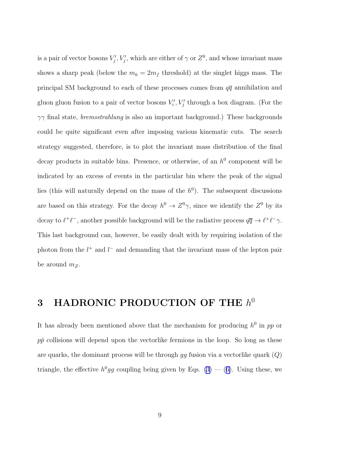is a pair of vector bosons  $V'_j$ ,  $V'_j$ , which are either of  $\gamma$  or  $Z^0$ , and whose invariant mass shows a sharp peak (below the  $m_h = 2m_f$  threshold) at the singlet higgs mass. The principal SM background to each of these processes comes from  $q\bar{q}$  annihilation and gluon gluon fusion to a pair of vector bosons  $V_i', V_j'$  through a box diagram. (For the  $\gamma\gamma$  final state, *bremsstrahlung* is also an important background.) These backgrounds could be quite significant even after imposing various kinematic cuts. The search strategy suggested, therefore, is to plot the invariant mass distribution of the final decay products in suitable bins. Presence, or otherwise, of an  $h^0$  component will be indicated by an excess of events in the particular bin where the peak of the signal lies (this will naturally depend on the mass of the  $h^0$ ). The subsequent discussions are based on this strategy. For the decay  $h^0 \to Z^0 \gamma$ , since we identify the  $Z^0$  by its decay to  $\ell^+\ell^-$ , another possible background will be the radiative process  $q\overline{q} \to \ell^+\ell^- \gamma$ . This last background can, however, be easily dealt with by requiring isolation of the photon from the  $l^+$  and  $l^-$  and demanding that the invariant mass of the lepton pair be around  $m_Z$ .

# 3 HADRONIC PRODUCTION OF THE  $h^0$

It has already been mentioned above that the mechanism for producing  $h^0$  in pp or  $p\bar{p}$  collisions will depend upon the vectorlike fermions in the loop. So long as these are quarks, the dominant process will be through  $gg$  fusion via a vectorlike quark  $(Q)$ triangle,the effective  $h^0 gg$  coupling being given by Eqs. ([3\)](#page-5-0) – ([6\)](#page-6-0). Using these, we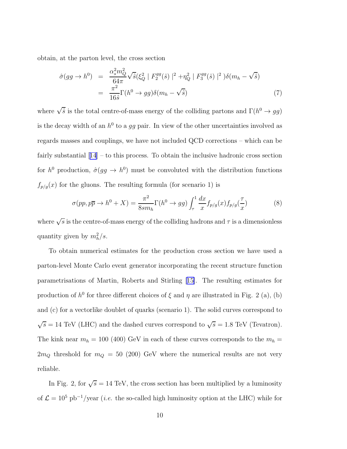obtain, at the parton level, the cross section

$$
\hat{\sigma}(gg \to h^0) = \frac{\alpha_s^2 m_Q^2}{64\pi} \sqrt{\hat{s}} (\xi_Q^2 |F_2^{gg}(\hat{s})|^2 + \eta_Q^2 |F_3^{gg}(\hat{s})|^2) \delta(m_h - \sqrt{\hat{s}})
$$
  
= 
$$
\frac{\pi^2}{16\hat{s}} \Gamma(h^0 \to gg) \delta(m_h - \sqrt{\hat{s}})
$$
(7)

where  $\sqrt{\hat{s}}$  is the total centre-of-mass energy of the colliding partons and  $\Gamma(h^0 \to gg)$ is the decay width of an  $h^0$  to a gg pair. In view of the other uncertainties involved as regards masses and couplings, we have not included QCD corrections – which can be fairly substantial[[14](#page-26-0)] – to this process. To obtain the inclusive hadronic cross section for  $h^0$  production,  $\hat{\sigma}(gg \to h^0)$  must be convoluted with the distribution functions  $f_{p/g}(x)$  for the gluons. The resulting formula (for scenario 1) is

$$
\sigma(pp, p\overline{p} \to h^0 + X) = \frac{\pi^2}{8sm_h} \Gamma(h^0 \to gg) \int_{\tau}^{1} \frac{dx}{x} f_{p/g}(x) f_{p/g}(\frac{\tau}{x}) \tag{8}
$$

where  $\sqrt{s}$  is the centre-of-mass energy of the colliding hadrons and  $\tau$  is a dimensionless quantity given by  $m_h^2/s$ .

To obtain numerical estimates for the production cross section we have used a parton-level Monte Carlo event generator incorporating the recent structure function parametrisations of Martin, Roberts and Stirling[[15\]](#page-26-0). The resulting estimates for production of  $h^0$  for three different choices of  $\xi$  and  $\eta$  are illustrated in Fig. 2 (a), (b) and (c) for a vectorlike doublet of quarks (scenario 1). The solid curves correspond to  $\sqrt{s} = 14$  TeV (LHC) and the dashed curves correspond to  $\sqrt{s} = 1.8$  TeV (Tevatron). The kink near  $m_h = 100$  (400) GeV in each of these curves corresponds to the  $m_h =$  $2m_Q$  threshold for  $m_Q = 50$  (200) GeV where the numerical results are not very reliable.

In Fig. 2, for  $\sqrt{s} = 14$  TeV, the cross section has been multiplied by a luminosity of  $\mathcal{L} = 10^5$  pb<sup>-1</sup>/year (*i.e.* the so-called high luminosity option at the LHC) while for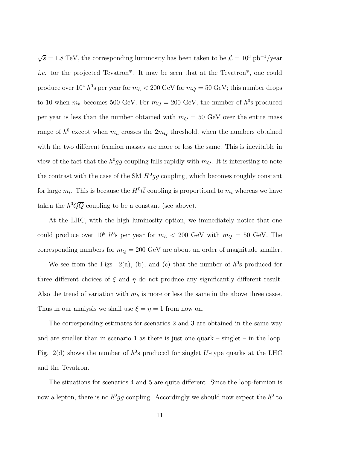$\sqrt{s} = 1.8$  TeV, the corresponding luminosity has been taken to be  $\mathcal{L} = 10^3$  pb<sup>-1</sup>/year i.e. for the projected Tevatron\*. It may be seen that at the Tevatron\*, one could produce over  $10^4 h^0$ s per year for  $m_h < 200 \text{ GeV}$  for  $m_Q = 50 \text{ GeV}$ ; this number drops to 10 when  $m_h$  becomes 500 GeV. For  $m_Q = 200$  GeV, the number of  $h^0$ s produced per year is less than the number obtained with  $m_Q = 50$  GeV over the entire mass range of  $h^0$  except when  $m_h$  crosses the  $2m_Q$  threshold, when the numbers obtained with the two different fermion masses are more or less the same. This is inevitable in view of the fact that the  $h^0 gg$  coupling falls rapidly with  $m_Q$ . It is interesting to note the contrast with the case of the SM  $H^0 gg$  coupling, which becomes roughly constant for large  $m_t$ . This is because the  $H^0 t\bar{t}$  coupling is proportional to  $m_t$  whereas we have taken the  $h^0 Q \overline{Q}$  coupling to be a constant (see above).

At the LHC, with the high luminosity option, we immediately notice that one could produce over  $10^8$  h<sup>0</sup>s per year for  $m_h < 200$  GeV with  $m_Q = 50$  GeV. The corresponding numbers for  $m_Q = 200$  GeV are about an order of magnitude smaller.

We see from the Figs. 2(a), (b), and (c) that the number of  $h^0$ s produced for three different choices of  $\xi$  and  $\eta$  do not produce any significantly different result. Also the trend of variation with  $m_h$  is more or less the same in the above three cases. Thus in our analysis we shall use  $\xi = \eta = 1$  from now on.

The corresponding estimates for scenarios 2 and 3 are obtained in the same way and are smaller than in scenario 1 as there is just one quark – singlet – in the loop. Fig. 2(d) shows the number of  $h^0$ s produced for singlet U-type quarks at the LHC and the Tevatron.

The situations for scenarios 4 and 5 are quite different. Since the loop-fermion is now a lepton, there is no  $h^0 gg$  coupling. Accordingly we should now expect the  $h^0$  to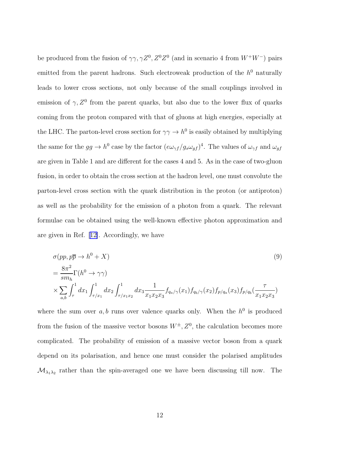be produced from the fusion of  $\gamma\gamma$ ,  $\gamma Z^0$ ,  $Z^0Z^0$  (and in scenario 4 from  $W^+W^-$ ) pairs emitted from the parent hadrons. Such electroweak production of the  $h^0$  naturally leads to lower cross sections, not only because of the small couplings involved in emission of  $\gamma$ ,  $Z^0$  from the parent quarks, but also due to the lower flux of quarks coming from the proton compared with that of gluons at high energies, especially at the LHC. The parton-level cross section for  $\gamma\gamma \to h^0$  is easily obtained by multiplying the same for the  $gg \to h^0$  case by the factor  $(e\omega_{\gamma f}/g_s\omega_{gf})^4$ . The values of  $\omega_{\gamma f}$  and  $\omega_{gf}$ are given in Table 1 and are different for the cases 4 and 5. As in the case of two-gluon fusion, in order to obtain the cross section at the hadron level, one must convolute the parton-level cross section with the quark distribution in the proton (or antiproton) as well as the probability for the emission of a photon from a quark. The relevant formulae can be obtained using the well-known effective photon approximation and are given in Ref.[[12\]](#page-26-0). Accordingly, we have

$$
\sigma(pp, p\overline{p} \to h^{0} + X)
$$
\n
$$
= \frac{8\pi^{2}}{sm_{h}} \Gamma(h^{0} \to \gamma\gamma)
$$
\n
$$
\times \sum_{a,b} \int_{\tau}^{1} dx_{1} \int_{\tau/x_{1}}^{1} dx_{2} \int_{\tau/x_{1}x_{2}}^{1} dx_{3} \frac{1}{x_{1}x_{2}x_{3}} f_{q_{a}/\gamma}(x_{1}) f_{q_{b}/\gamma}(x_{2}) f_{p/q_{a}}(x_{3}) f_{p/q_{b}}(\frac{\tau}{x_{1}x_{2}x_{3}})
$$
\n(9)

where the sum over  $a, b$  runs over valence quarks only. When the  $h^0$  is produced from the fusion of the massive vector bosons  $W^{\pm}, Z^0$ , the calculation becomes more complicated. The probability of emission of a massive vector boson from a quark depend on its polarisation, and hence one must consider the polarised amplitudes  $\mathcal{M}_{\lambda_1\lambda_2}$  rather than the spin-averaged one we have been discussing till now. The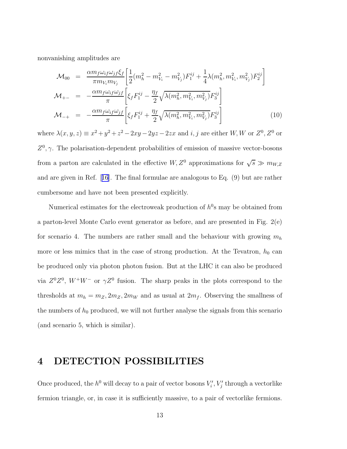nonvanishing amplitudes are

$$
\mathcal{M}_{00} = \frac{\alpha m_f \omega_{if} \omega_{jf} \xi_f}{\pi m_{V_i} m_{V_j}} \left[ \frac{1}{2} (m_h^2 - m_{V_i}^2 - m_{V_j}^2) F_1^{ij} + \frac{1}{4} \lambda (m_h^2, m_{V_i}^2, m_{V_j}^2) F_2^{ij} \right]
$$
\n
$$
\mathcal{M}_{+-} = -\frac{\alpha m_f \omega_{if} \omega_{jf}}{\pi} \left[ \xi_f F_1^{ij} - \frac{\eta_f}{2} \sqrt{\lambda (m_h^2, m_{V_i}^2, m_{V_j}^2)} F_3^{ij} \right]
$$
\n
$$
\mathcal{M}_{-+} = -\frac{\alpha m_f \omega_{if} \omega_{jf}}{\pi} \left[ \xi_f F_1^{ij} + \frac{\eta_f}{2} \sqrt{\lambda (m_h^2, m_{V_i}^2, m_{V_j}^2)} F_3^{ij} \right]
$$
\n(10)

where  $\lambda(x, y, z) \equiv x^2 + y^2 + z^2 - 2xy - 2yz - 2zx$  and  $i, j$  are either  $W, W$  or  $Z^0, Z^0$  or  $Z^0$ ,  $\gamma$ . The polarisation-dependent probabilities of emission of massive vector-bosons from a parton are calculated in the effective  $W, Z^0$  approximations for  $\sqrt{s} \gg m_{W, Z}$ and are given in Ref.[[16](#page-26-0)]. The final formulae are analogous to Eq. (9) but are rather cumbersome and have not been presented explicitly.

Numerical estimates for the electroweak production of  $h^0$ s may be obtained from a parton-level Monte Carlo event generator as before, and are presented in Fig. 2(e) for scenario 4. The numbers are rather small and the behaviour with growing  $m_h$ more or less mimics that in the case of strong production. At the Tevatron,  $h_0$  can be produced only via photon photon fusion. But at the LHC it can also be produced via  $Z^0Z^0$ ,  $W^+W^-$  or  $\gamma Z^0$  fusion. The sharp peaks in the plots correspond to the thresholds at  $m_h = m_Z, 2m_Z, 2m_W$  and as usual at  $2m_f$ . Observing the smallness of the numbers of  $h_0$  produced, we will not further analyse the signals from this scenario (and scenario 5, which is similar).

## 4 DETECTION POSSIBILITIES

Once produced, the  $h^0$  will decay to a pair of vector bosons  $V'_i$ ,  $V'_j$  through a vectorlike fermion triangle, or, in case it is sufficiently massive, to a pair of vectorlike fermions.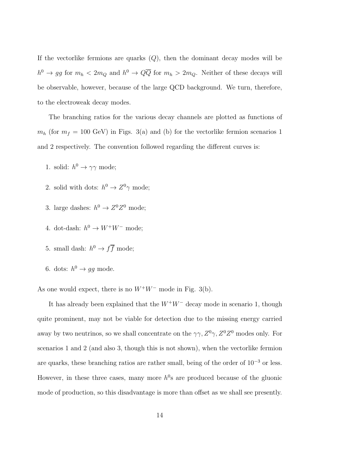If the vectorlike fermions are quarks  $(Q)$ , then the dominant decay modes will be  $h^0 \to gg$  for  $m_h < 2m_Q$  and  $h^0 \to Q\overline{Q}$  for  $m_h > 2m_Q$ . Neither of these decays will be observable, however, because of the large QCD background. We turn, therefore, to the electroweak decay modes.

The branching ratios for the various decay channels are plotted as functions of  $m_h$  (for  $m_f = 100$  GeV) in Figs. 3(a) and (b) for the vectorlike fermion scenarios 1 and 2 respectively. The convention followed regarding the different curves is:

- 1. solid:  $h^0 \to \gamma \gamma$  mode;
- 2. solid with dots:  $h^0 \to Z^0 \gamma$  mode;
- 3. large dashes:  $h^0 \to Z^0 Z^0$  mode;
- 4. dot-dash:  $h^0 \to W^+W^-$  mode;
- 5. small dash:  $h^0 \to f\overline{f}$  mode;
- 6. dots:  $h^0 \rightarrow gg$  mode.

As one would expect, there is no  $W^+W^-$  mode in Fig. 3(b).

It has already been explained that the  $W^+W^-$  decay mode in scenario 1, though quite prominent, may not be viable for detection due to the missing energy carried away by two neutrinos, so we shall concentrate on the  $\gamma\gamma$ ,  $Z^0\gamma$ ,  $Z^0Z^0$  modes only. For scenarios 1 and 2 (and also 3, though this is not shown), when the vectorlike fermion are quarks, these branching ratios are rather small, being of the order of  $10^{-3}$  or less. However, in these three cases, many more  $h^0$ s are produced because of the gluonic mode of production, so this disadvantage is more than offset as we shall see presently.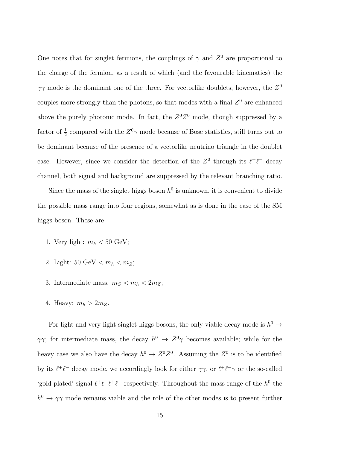One notes that for singlet fermions, the couplings of  $\gamma$  and  $Z^0$  are proportional to the charge of the fermion, as a result of which (and the favourable kinematics) the  $\gamma\gamma$  mode is the dominant one of the three. For vectorlike doublets, however, the  $Z^0$ couples more strongly than the photons, so that modes with a final  $Z<sup>0</sup>$  are enhanced above the purely photonic mode. In fact, the  $Z^0Z^0$  mode, though suppressed by a factor of  $\frac{1}{2}$  compared with the  $Z^0\gamma$  mode because of Bose statistics, still turns out to be dominant because of the presence of a vectorlike neutrino triangle in the doublet case. However, since we consider the detection of the  $Z^0$  through its  $\ell^+\ell^-$  decay channel, both signal and background are suppressed by the relevant branching ratio.

Since the mass of the singlet higgs boson  $h^0$  is unknown, it is convenient to divide the possible mass range into four regions, somewhat as is done in the case of the SM higgs boson. These are

- 1. Very light:  $m_h < 50$  GeV;
- 2. Light: 50 GeV  $< m_h < m_Z$ ;
- 3. Intermediate mass:  $m_Z < m_h < 2m_Z$ ;
- 4. Heavy:  $m_h > 2m_Z$ .

For light and very light singlet higgs bosons, the only viable decay mode is  $h^0 \to$  $\gamma\gamma$ ; for intermediate mass, the decay  $h^0 \to Z^0\gamma$  becomes available; while for the heavy case we also have the decay  $h^0 \to Z^0 Z^0$ . Assuming the  $Z^0$  is to be identified by its  $\ell^+\ell^-$  decay mode, we accordingly look for either  $\gamma\gamma$ , or  $\ell^+\ell^-\gamma$  or the so-called 'gold plated' signal  $\ell^+\ell^-\ell^+\ell^-$  respectively. Throughout the mass range of the  $h^0$  the  $h^0 \to \gamma \gamma$  mode remains viable and the role of the other modes is to present further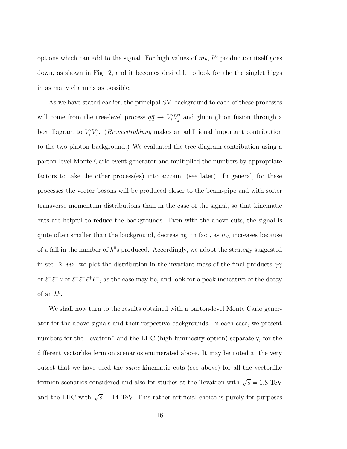options which can add to the signal. For high values of  $m_h$ ,  $h^0$  production itself goes down, as shown in Fig. 2, and it becomes desirable to look for the the singlet higgs in as many channels as possible.

As we have stated earlier, the principal SM background to each of these processes will come from the tree-level process  $q\bar{q} \to V_i'V_j'$  and gluon gluon fusion through a box diagram to  $V_i'V_j'$ . (*Bremsstrahlung* makes an additional important contribution to the two photon background.) We evaluated the tree diagram contribution using a parton-level Monte Carlo event generator and multiplied the numbers by appropriate factors to take the other process(es) into account (see later). In general, for these processes the vector bosons will be produced closer to the beam-pipe and with softer transverse momentum distributions than in the case of the signal, so that kinematic cuts are helpful to reduce the backgrounds. Even with the above cuts, the signal is quite often smaller than the background, decreasing, in fact, as  $m_h$  increases because of a fall in the number of  $h^0$ s produced. Accordingly, we adopt the strategy suggested in sec. 2, *viz.* we plot the distribution in the invariant mass of the final products  $\gamma\gamma$ or  $\ell^+\ell^-\gamma$  or  $\ell^+\ell^-\ell^+\ell^-$ , as the case may be, and look for a peak indicative of the decay of an  $h^0$ .

We shall now turn to the results obtained with a parton-level Monte Carlo generator for the above signals and their respective backgrounds. In each case, we present numbers for the Tevatron<sup>\*</sup> and the LHC (high luminosity option) separately, for the different vectorlike fermion scenarios enumerated above. It may be noted at the very outset that we have used the same kinematic cuts (see above) for all the vectorlike fermion scenarios considered and also for studies at the Tevatron with  $\sqrt{s} = 1.8$  TeV and the LHC with  $\sqrt{s} = 14$  TeV. This rather artificial choice is purely for purposes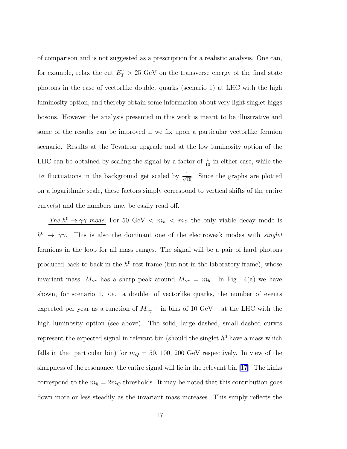of comparison and is not suggested as a prescription for a realistic analysis. One can, for example, relax the cut  $E_T^{\gamma} > 25$  GeV on the transverse energy of the final state photons in the case of vectorlike doublet quarks (scenario 1) at LHC with the high luminosity option, and thereby obtain some information about very light singlet higgs bosons. However the analysis presented in this work is meant to be illustrative and some of the results can be improved if we fix upon a particular vectorlike fermion scenario. Results at the Tevatron upgrade and at the low luminosity option of the LHC can be obtained by scaling the signal by a factor of  $\frac{1}{10}$  in either case, while the  $1\sigma$  fluctuations in the background get scaled by  $\frac{1}{\sqrt{10}}$ . Since the graphs are plotted on a logarithmic scale, these factors simply correspond to vertical shifts of the entire curve(s) and the numbers may be easily read off.

The  $h^0 \to \gamma\gamma$  mode: For 50 GeV  $\langle m_h \rangle$   $m_Z$  the only viable decay mode is  $h^0 \rightarrow \gamma \gamma$ . This is also the dominant one of the electroweak modes with *singlet* fermions in the loop for all mass ranges. The signal will be a pair of hard photons produced back-to-back in the  $h^0$  rest frame (but not in the laboratory frame), whose invariant mass,  $M_{\gamma\gamma}$  has a sharp peak around  $M_{\gamma\gamma} = m_h$ . In Fig. 4(a) we have shown, for scenario 1, *i.e.* a doublet of vectorlike quarks, the number of events expected per year as a function of  $M_{\gamma\gamma}$  – in bins of 10 GeV – at the LHC with the high luminosity option (see above). The solid, large dashed, small dashed curves represent the expected signal in relevant bin (should the singlet  $h^0$  have a mass which falls in that particular bin) for  $m_Q = 50$ , 100, 200 GeV respectively. In view of the sharpness of the resonance, the entire signal will lie in the relevant bin[[17\]](#page-26-0). The kinks correspond to the  $m_h = 2m_Q$  thresholds. It may be noted that this contribution goes down more or less steadily as the invariant mass increases. This simply reflects the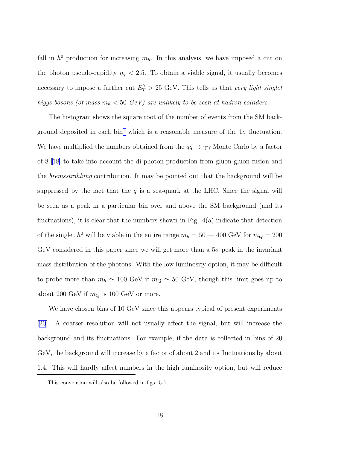fall in  $h^0$  production for increasing  $m_h$ . In this analysis, we have imposed a cut on the photon pseudo-rapidity  $\eta_{\gamma}$  < 2.5. To obtain a viable signal, it usually becomes necessary to impose a further cut  $E_T^{\gamma} > 25$  GeV. This tells us that very light singlet higgs bosons (of mass  $m_h < 50 \text{ GeV}$ ) are unlikely to be seen at hadron colliders.

The histogram shows the square root of the number of events from the SM background deposited in each bin<sup>1</sup> which is a reasonable measure of the  $1\sigma$  fluctuation. We have multiplied the numbers obtained from the  $q\bar{q} \to \gamma\gamma$  Monte Carlo by a factor of 8[[18\]](#page-26-0) to take into account the di-photon production from gluon gluon fusion and the bremsstrahlung contribution. It may be pointed out that the background will be suppressed by the fact that the  $\bar{q}$  is a sea-quark at the LHC. Since the signal will be seen as a peak in a particular bin over and above the SM background (and its fluctuations), it is clear that the numbers shown in Fig. 4(a) indicate that detection of the singlet  $h^0$  will be viable in the entire range  $m_h = 50 - 400$  GeV for  $m_Q = 200$ GeV considered in this paper since we will get more than a  $5\sigma$  peak in the invariant mass distribution of the photons. With the low luminosity option, it may be difficult to probe more than  $m_h \simeq 100 \text{ GeV}$  if  $m_Q \simeq 50 \text{ GeV}$ , though this limit goes up to about 200 GeV if  $m_Q$  is 100 GeV or more.

We have chosen bins of 10 GeV since this appears typical of present experiments [\[20\]](#page-26-0). A coarser resolution will not usually affect the signal, but will increase the background and its fluctuations. For example, if the data is collected in bins of 20 GeV, the background will increase by a factor of about 2 and its fluctuations by about 1.4. This will hardly affect numbers in the high luminosity option, but will reduce

<sup>&</sup>lt;sup>1</sup>This convention will also be followed in figs. 5-7.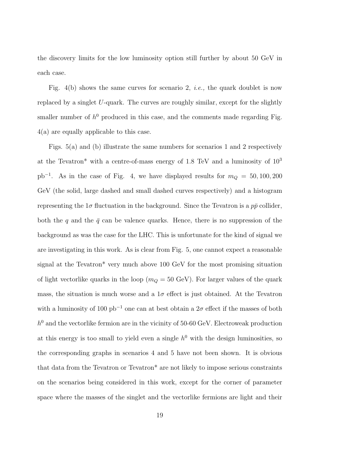the discovery limits for the low luminosity option still further by about 50 GeV in each case.

Fig. 4(b) shows the same curves for scenario 2, *i.e.*, the quark doublet is now replaced by a singlet U-quark. The curves are roughly similar, except for the slightly smaller number of  $h^0$  produced in this case, and the comments made regarding Fig. 4(a) are equally applicable to this case.

Figs. 5(a) and (b) illustrate the same numbers for scenarios 1 and 2 respectively at the Tevatron\* with a centre-of-mass energy of  $1.8$  TeV and a luminosity of  $10<sup>3</sup>$  $pb^{-1}$ . As in the case of Fig. 4, we have displayed results for  $m_Q = 50, 100, 200$ GeV (the solid, large dashed and small dashed curves respectively) and a histogram representing the  $1\sigma$  fluctuation in the background. Since the Tevatron is a  $p\bar{p}$  collider, both the q and the  $\bar{q}$  can be valence quarks. Hence, there is no suppression of the background as was the case for the LHC. This is unfortunate for the kind of signal we are investigating in this work. As is clear from Fig. 5, one cannot expect a reasonable signal at the Tevatron\* very much above 100 GeV for the most promising situation of light vectorlike quarks in the loop ( $m_Q = 50$  GeV). For larger values of the quark mass, the situation is much worse and a  $1\sigma$  effect is just obtained. At the Tevatron with a luminosity of 100  $pb^{-1}$  one can at best obtain a  $2\sigma$  effect if the masses of both  $h^0$  and the vectorlike fermion are in the vicinity of 50-60 GeV. Electroweak production at this energy is too small to yield even a single  $h^0$  with the design luminosities, so the corresponding graphs in scenarios 4 and 5 have not been shown. It is obvious that data from the Tevatron or Tevatron\* are not likely to impose serious constraints on the scenarios being considered in this work, except for the corner of parameter space where the masses of the singlet and the vectorlike fermions are light and their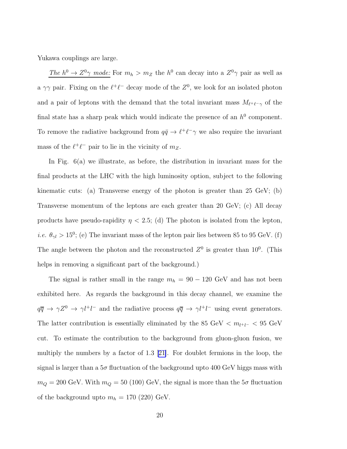Yukawa couplings are large.

The  $h^0 \to Z^0 \gamma$  mode: For  $m_h > m_Z$  the  $h^0$  can decay into a  $Z^0 \gamma$  pair as well as a  $\gamma\gamma$  pair. Fixing on the  $\ell^+\ell^-$  decay mode of the  $Z^0$ , we look for an isolated photon and a pair of leptons with the demand that the total invariant mass  $M_{\ell^+\ell^-\gamma}$  of the final state has a sharp peak which would indicate the presence of an  $h^0$  component. To remove the radiative background from  $q\bar{q} \to \ell^+ \ell^- \gamma$  we also require the invariant mass of the  $\ell^+\ell^-$  pair to lie in the vicinity of  $m_Z$ .

In Fig. 6(a) we illustrate, as before, the distribution in invariant mass for the final products at the LHC with the high luminosity option, subject to the following kinematic cuts: (a) Transverse energy of the photon is greater than 25 GeV; (b) Transverse momentum of the leptons are each greater than 20 GeV; (c) All decay products have pseudo-rapidity  $\eta$  < 2.5; (d) The photon is isolated from the lepton, *i.e.*  $\theta_{\gamma l} > 15^{\circ}$ ; (e) The invariant mass of the lepton pair lies between 85 to 95 GeV. (f) The angle between the photon and the reconstructed  $Z^0$  is greater than  $10^0$ . (This helps in removing a significant part of the background.)

The signal is rather small in the range  $m_h = 90 - 120$  GeV and has not been exhibited here. As regards the background in this decay channel, we examine the  $q\bar{q} \to \gamma Z^0 \to \gamma l^+l^-$  and the radiative process  $q\bar{q} \to \gamma l^+l^-$  using event generators. The latter contribution is essentially eliminated by the 85 GeV <  $m_{l^+l^-}$  < 95 GeV cut. To estimate the contribution to the background from gluon-gluon fusion, we multiply the numbers by a factor of 1.3[[21\]](#page-27-0). For doublet fermions in the loop, the signal is larger than a  $5\sigma$  fluctuation of the background upto 400 GeV higgs mass with  $m_Q = 200 \text{ GeV}$ . With  $m_Q = 50$  (100) GeV, the signal is more than the  $5\sigma$  fluctuation of the background upto  $m_h = 170$  (220) GeV.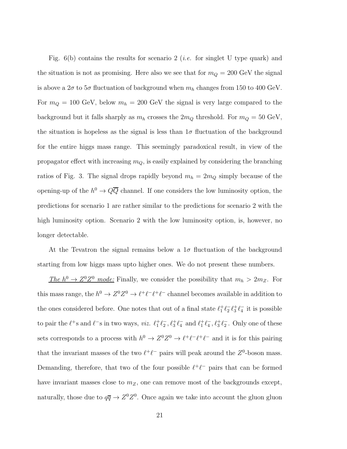Fig.  $6(b)$  contains the results for scenario 2 (*i.e.* for singlet U type quark) and the situation is not as promising. Here also we see that for  $m_Q = 200$  GeV the signal is above a  $2\sigma$  to  $5\sigma$  fluctuation of background when  $m_h$  changes from 150 to 400 GeV. For  $m_Q = 100$  GeV, below  $m_h = 200$  GeV the signal is very large compared to the background but it falls sharply as  $m_h$  crosses the  $2m_Q$  threshold. For  $m_Q = 50 \text{ GeV}$ , the situation is hopeless as the signal is less than  $1\sigma$  fluctuation of the background for the entire higgs mass range. This seemingly paradoxical result, in view of the propagator effect with increasing  $m_Q$ , is easily explained by considering the branching ratios of Fig. 3. The signal drops rapidly beyond  $m_h = 2m_Q$  simply because of the opening-up of the  $h^0 \to Q\overline{Q}$  channel. If one considers the low luminosity option, the predictions for scenario 1 are rather similar to the predictions for scenario 2 with the high luminosity option. Scenario 2 with the low luminosity option, is, however, no longer detectable.

At the Tevatron the signal remains below a  $1\sigma$  fluctuation of the background starting from low higgs mass upto higher ones. We do not present these numbers.

The  $h^0 \to Z^0 Z^0$  mode: Finally, we consider the possibility that  $m_h > 2m_Z$ . For this mass range, the  $h^0 \to Z^0 Z^0 \to \ell^+ \ell^- \ell^+ \ell^-$  channel becomes available in addition to the ones considered before. One notes that out of a final state  $\ell_1^+ \ell_2^- \ell_3^+ \ell_4^-$  it is possible to pair the  $\ell^+$ s and  $\ell^-$ s in two ways, *viz.*  $\ell_1^+\ell_2^-$ ,  $\ell_3^+\ell_4^-$  and  $\ell_1^+\ell_4^-$ ,  $\ell_3^+\ell_2^-$ . Only one of these sets corresponds to a process with  $h^0 \to Z^0 Z^0 \to \ell^+ \ell^- \ell^+ \ell^-$  and it is for this pairing that the invariant masses of the two  $\ell^+\ell^-$  pairs will peak around the  $Z^0$ -boson mass. Demanding, therefore, that two of the four possible  $\ell^+\ell^-$  pairs that can be formed have invariant masses close to  $m_Z$ , one can remove most of the backgrounds except, naturally, those due to  $q\overline{q} \to Z^0 Z^0$ . Once again we take into account the gluon gluon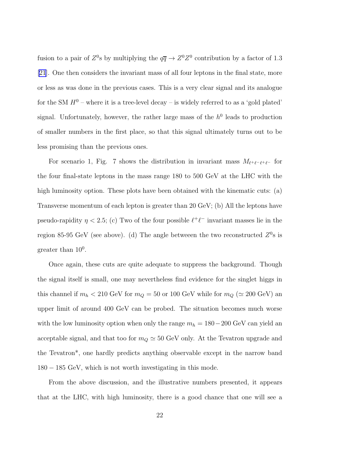fusion to a pair of  $Z^0$ s by multiplying the  $q\overline{q} \to Z^0 Z^0$  contribution by a factor of 1.3 [\[21](#page-27-0)]. One then considers the invariant mass of all four leptons in the final state, more or less as was done in the previous cases. This is a very clear signal and its analogue for the SM  $H^0$  – where it is a tree-level decay – is widely referred to as a 'gold plated' signal. Unfortunately, however, the rather large mass of the  $h^0$  leads to production of smaller numbers in the first place, so that this signal ultimately turns out to be less promising than the previous ones.

For scenario 1, Fig. 7 shows the distribution in invariant mass  $M_{\ell^+\ell^-\ell^+\ell^-}$  for the four final-state leptons in the mass range 180 to 500 GeV at the LHC with the high luminosity option. These plots have been obtained with the kinematic cuts: (a) Transverse momentum of each lepton is greater than 20 GeV; (b) All the leptons have pseudo-rapidity  $\eta < 2.5$ ; (c) Two of the four possible  $\ell^+ \ell^-$  invariant masses lie in the region 85-95 GeV (see above). (d) The angle betweeen the two reconstructed  $Z^0$ s is greater than  $10^0$ .

Once again, these cuts are quite adequate to suppress the background. Though the signal itself is small, one may nevertheless find evidence for the singlet higgs in this channel if  $m_h < 210 \text{ GeV}$  for  $m_Q = 50$  or 100 GeV while for  $m_Q \ (\simeq 200 \text{ GeV})$  and upper limit of around 400 GeV can be probed. The situation becomes much worse with the low luminosity option when only the range  $m_h = 180-200$  GeV can yield an acceptable signal, and that too for  $m_Q \simeq 50$  GeV only. At the Tevatron upgrade and the Tevatron\*, one hardly predicts anything observable except in the narrow band 180 − 185 GeV, which is not worth investigating in this mode.

From the above discussion, and the illustrative numbers presented, it appears that at the LHC, with high luminosity, there is a good chance that one will see a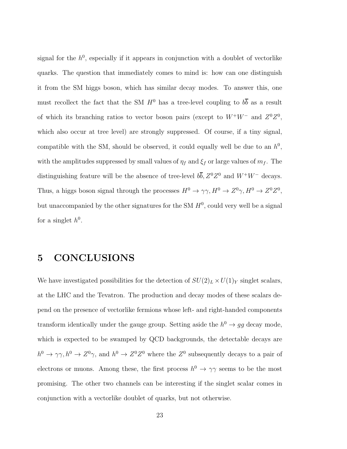signal for the  $h^0$ , especially if it appears in conjunction with a doublet of vectorlike quarks. The question that immediately comes to mind is: how can one distinguish it from the SM higgs boson, which has similar decay modes. To answer this, one must recollect the fact that the SM  $H^0$  has a tree-level coupling to  $b\overline{b}$  as a result of which its branching ratios to vector boson pairs (except to  $W^+W^-$  and  $Z^0Z^0$ , which also occur at tree level) are strongly suppressed. Of course, if a tiny signal, compatible with the SM, should be observed, it could equally well be due to an  $h^0$ , with the amplitudes suppressed by small values of  $\eta_f$  and  $\xi_f$  or large values of  $m_f$ . The distinguishing feature will be the absence of tree-level  $b\overline{b}$ ,  $Z^0Z^0$  and  $W^+W^-$  decays. Thus, a higgs boson signal through the processes  $H^0 \to \gamma \gamma$ ,  $H^0 \to Z^0 \gamma$ ,  $H^0 \to Z^0 Z^0$ , but unaccompanied by the other signatures for the SM  $H<sup>0</sup>$ , could very well be a signal for a singlet  $h^0$ .

### 5 CONCLUSIONS

We have investigated possibilities for the detection of  $SU(2)_L \times U(1)_Y$  singlet scalars, at the LHC and the Tevatron. The production and decay modes of these scalars depend on the presence of vectorlike fermions whose left- and right-handed components transform identically under the gauge group. Setting aside the  $h^0 \to gg$  decay mode, which is expected to be swamped by QCD backgrounds, the detectable decays are  $h^0 \to \gamma \gamma$ ,  $h^0 \to Z^0 \gamma$ , and  $h^0 \to Z^0 Z^0$  where the  $Z^0$  subsequently decays to a pair of electrons or muons. Among these, the first process  $h^0 \to \gamma\gamma$  seems to be the most promising. The other two channels can be interesting if the singlet scalar comes in conjunction with a vectorlike doublet of quarks, but not otherwise.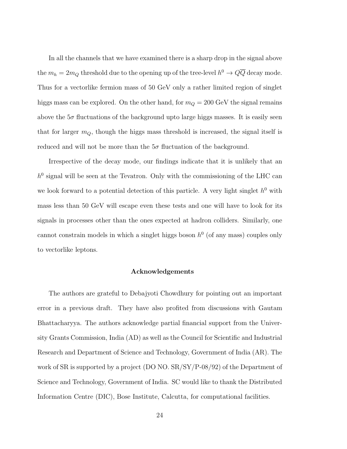In all the channels that we have examined there is a sharp drop in the signal above the  $m_h = 2m_Q$  threshold due to the opening up of the tree-level  $h^0 \to Q\overline{Q}$  decay mode. Thus for a vectorlike fermion mass of 50 GeV only a rather limited region of singlet higgs mass can be explored. On the other hand, for  $m_Q = 200$  GeV the signal remains above the  $5\sigma$  fluctuations of the background upto large higgs masses. It is easily seen that for larger  $m_Q$ , though the higgs mass threshold is increased, the signal itself is reduced and will not be more than the  $5\sigma$  fluctuation of the background.

Irrespective of the decay mode, our findings indicate that it is unlikely that an  $h^0$  signal will be seen at the Tevatron. Only with the commissioning of the LHC can we look forward to a potential detection of this particle. A very light singlet  $h^0$  with mass less than 50 GeV will escape even these tests and one will have to look for its signals in processes other than the ones expected at hadron colliders. Similarly, one cannot constrain models in which a singlet higgs boson  $h^0$  (of any mass) couples only to vectorlike leptons.

#### Acknowledgements

The authors are grateful to Debajyoti Chowdhury for pointing out an important error in a previous draft. They have also profited from discussions with Gautam Bhattacharyya. The authors acknowledge partial financial support from the University Grants Commission, India (AD) as well as the Council for Scientific and Industrial Research and Department of Science and Technology, Government of India (AR). The work of SR is supported by a project (DO NO. SR/SY/P-08/92) of the Department of Science and Technology, Government of India. SC would like to thank the Distributed Information Centre (DIC), Bose Institute, Calcutta, for computational facilities.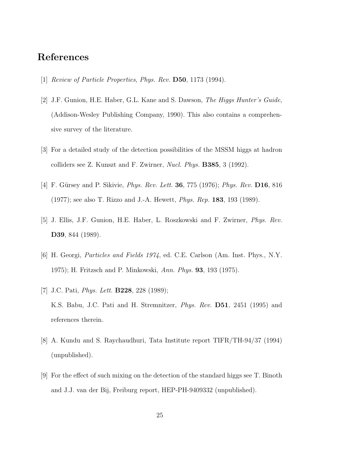### <span id="page-25-0"></span>References

- [1] Review of Particle Properties, Phys. Rev. **D50**, 1173 (1994).
- [2] J.F. Gunion, H.E. Haber, G.L. Kane and S. Dawson, The Higgs Hunter's Guide, (Addison-Wesley Publishing Company, 1990). This also contains a comprehensive survey of the literature.
- [3] For a detailed study of the detection possibilities of the MSSM higgs at hadron colliders see Z. Kunszt and F. Zwirner, Nucl. Phys. B385, 3 (1992).
- [4] F. Gürsey and P. Sikivie, *Phys. Rev. Lett.* **36**, 775 (1976); *Phys. Rev.* **D16**, 816 (1977); see also T. Rizzo and J.-A. Hewett, Phys. Rep. 183, 193 (1989).
- [5] J. Ellis, J.F. Gunion, H.E. Haber, L. Roszkowski and F. Zwirner, Phys. Rev. D39, 844 (1989).
- [6] H. Georgi, Particles and Fields 1974, ed. C.E. Carlson (Am. Inst. Phys., N.Y. 1975); H. Fritzsch and P. Minkowski, Ann. Phys. 93, 193 (1975).
- [7] J.C. Pati, *Phys. Lett.* **B228**, 228 (1989); K.S. Babu, J.C. Pati and H. Stremnitzer, *Phys. Rev.* **D51**, 2451 (1995) and references therein.
- [8] A. Kundu and S. Raychaudhuri, Tata Institute report TIFR/TH-94/37 (1994) (unpublished).
- [9] For the effect of such mixing on the detection of the standard higgs see T. Binoth and J.J. van der Bij, Freiburg report, HEP-PH-9409332 (unpublished).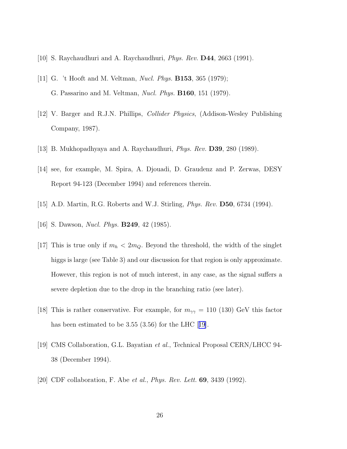- <span id="page-26-0"></span>[10] S. Raychaudhuri and A. Raychaudhuri, *Phys. Rev.* **D44**, 2663 (1991).
- [11] G. 't Hooft and M. Veltman, *Nucl. Phys.* **B153**, 365 (1979); G. Passarino and M. Veltman, Nucl. Phys. B160, 151 (1979).
- [12] V. Barger and R.J.N. Phillips, Collider Physics, (Addison-Wesley Publishing Company, 1987).
- [13] B. Mukhopadhyaya and A. Raychaudhuri, Phys. Rev. D39, 280 (1989).
- [14] see, for example, M. Spira, A. Djouadi, D. Graudenz and P. Zerwas, DESY Report 94-123 (December 1994) and references therein.
- [15] A.D. Martin, R.G. Roberts and W.J. Stirling, Phys. Rev. D50, 6734 (1994).
- [16] S. Dawson, *Nucl. Phys.* **B249**, 42 (1985).
- [17] This is true only if  $m_h < 2m_Q$ . Beyond the threshold, the width of the singlet higgs is large (see Table 3) and our discussion for that region is only approximate. However, this region is not of much interest, in any case, as the signal suffers a severe depletion due to the drop in the branching ratio (see later).
- [18] This is rather conservative. For example, for  $m_{\gamma\gamma} = 110$  (130) GeV this factor has been estimated to be 3.55 (3.56) for the LHC [19].
- [19] CMS Collaboration, G.L. Bayatian et al., Technical Proposal CERN/LHCC 94- 38 (December 1994).
- [20] CDF collaboration, F. Abe et al., *Phys. Rev. Lett.* **69**, 3439 (1992).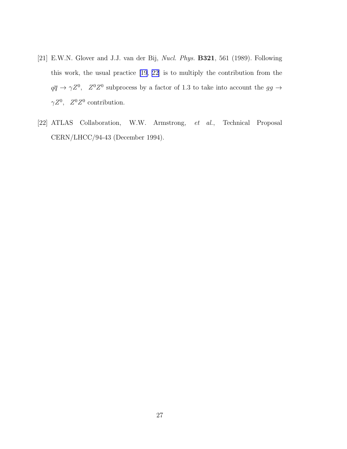- <span id="page-27-0"></span>[21] E.W.N. Glover and J.J. van der Bij, Nucl. Phys. B321, 561 (1989). Following this work, the usual practice [\[19](#page-26-0), 22] is to multiply the contribution from the  $q\overline{q} \rightarrow \gamma Z^0$ ,  $Z^0 Z^0$  subprocess by a factor of 1.3 to take into account the  $gg \rightarrow$  $\gamma Z^0$ ,  $Z^0 Z^0$  contribution.
- [22] ATLAS Collaboration, W.W. Armstrong, et al., Technical Proposal CERN/LHCC/94-43 (December 1994).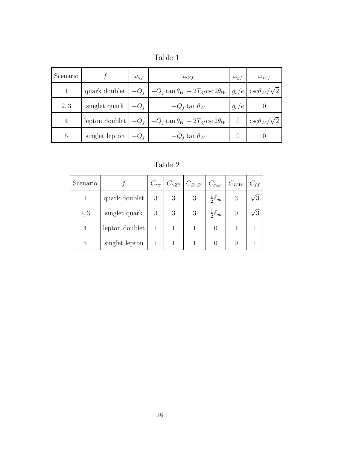| Scenario       |                | $\omega_{\gamma f}$ | $\omega_{Zf}$                                 | $\omega_{gf}$    | $\omega_{Wf}$           |
|----------------|----------------|---------------------|-----------------------------------------------|------------------|-------------------------|
|                | quark doublet  | $-Q_f$              | $-Q_f \tan \theta_W + 2T_{3f} \csc 2\theta_W$ | $g_s/e$          | $\csc\theta_W/\sqrt{2}$ |
| 2, 3           | singlet quark  | $-Q_f$              | $-Q_f \tan \theta_W$                          | $g_s/e$          |                         |
| $\overline{4}$ | lepton doublet | $-Q_f$              | $-Q_f \tan \theta_W + 2T_{3f} \csc 2\theta_W$ | $\theta$         | $\csc\theta_W/\sqrt{2}$ |
| 5              | singlet lepton |                     | $-Q_f \tan \theta_W$                          | $\left( \right)$ |                         |

Table 2

| Scenario |                |   |   | $C_{\gamma\gamma}$ $C_{\gamma Z^0}$ $C_{Z^0 Z^0}$ $C_{g_ag_b}$ |                        | $C_{WW}$ | $C_{ff}$ |
|----------|----------------|---|---|----------------------------------------------------------------|------------------------|----------|----------|
|          | quark doublet  | 3 | 3 | 3                                                              | $rac{1}{2}\delta_{ab}$ | 3        |          |
| 2,3      | singlet quark  | 3 | 3 | 3                                                              | $rac{1}{2}\delta_{ab}$ |          |          |
|          | lepton doublet |   |   |                                                                |                        |          |          |
| 5        | singlet lepton |   |   |                                                                |                        |          |          |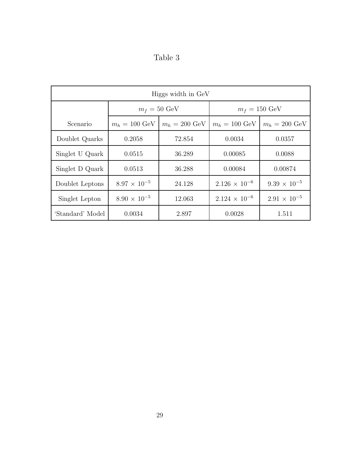| Table 3 |  |
|---------|--|
|---------|--|

| Higgs width in GeV |                         |                         |                         |                         |  |  |  |
|--------------------|-------------------------|-------------------------|-------------------------|-------------------------|--|--|--|
|                    | $m_f = 50 \text{ GeV}$  |                         | $m_f = 150 \text{ GeV}$ |                         |  |  |  |
| Scenario           | $m_h = 100 \text{ GeV}$ | $m_h = 200 \text{ GeV}$ | $m_h = 100 \text{ GeV}$ | $m_h = 200 \text{ GeV}$ |  |  |  |
| Doublet Quarks     | 0.2058                  | 72.854                  | 0.0034                  | 0.0357                  |  |  |  |
| Singlet U Quark    | 0.0515                  | 36.289                  | 0.00085                 | 0.0088                  |  |  |  |
| Singlet D Quark    | 0.0513                  | 36.288                  | 0.00084                 | 0.00874                 |  |  |  |
| Doublet Leptons    | $8.97 \times 10^{-5}$   | 24.128                  | $2.126 \times 10^{-6}$  | $9.39 \times 10^{-5}$   |  |  |  |
| Singlet Lepton     | $8.90 \times 10^{-5}$   | 12.063                  | $2.124 \times 10^{-6}$  | $2.91 \times 10^{-5}$   |  |  |  |
| 'Standard' Model   | 0.0034                  | 2.897                   | 0.0028                  | 1.511                   |  |  |  |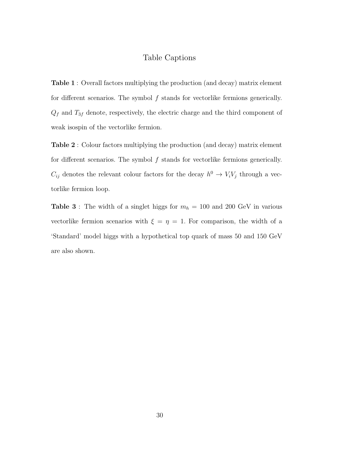#### Table Captions

Table 1 : Overall factors multiplying the production (and decay) matrix element for different scenarios. The symbol f stands for vectorlike fermions generically.  $Q_f$  and  $T_{3f}$  denote, respectively, the electric charge and the third component of weak isospin of the vectorlike fermion.

Table 2 : Colour factors multiplying the production (and decay) matrix element for different scenarios. The symbol f stands for vectorlike fermions generically.  $C_{ij}$  denotes the relevant colour factors for the decay  $h^0 \to V_i V_j$  through a vectorlike fermion loop.

**Table 3**: The width of a singlet higgs for  $m_h = 100$  and 200 GeV in various vectorlike fermion scenarios with  $\xi = \eta = 1$ . For comparison, the width of a 'Standard' model higgs with a hypothetical top quark of mass 50 and 150 GeV are also shown.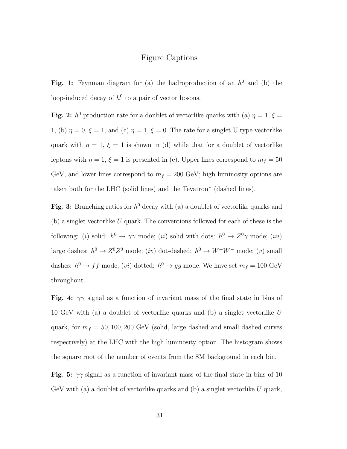#### Figure Captions

Fig. 1: Feynman diagram for (a) the hadroproduction of an  $h^0$  and (b) the loop-induced decay of  $h^0$  to a pair of vector bosons.

Fig. 2:  $h^0$  production rate for a doublet of vectorlike quarks with (a)  $\eta = 1, \xi =$ 1, (b)  $\eta = 0$ ,  $\xi = 1$ , and (c)  $\eta = 1$ ,  $\xi = 0$ . The rate for a singlet U type vectorlike quark with  $\eta = 1, \xi = 1$  is shown in (d) while that for a doublet of vectorlike leptons with  $\eta = 1, \xi = 1$  is presented in (e). Upper lines correspond to  $m_f = 50$ GeV, and lower lines correspond to  $m_f = 200$  GeV; high luminosity options are taken both for the LHC (solid lines) and the Tevatron\* (dashed lines).

Fig. 3: Branching ratios for  $h^0$  decay with (a) a doublet of vectorlike quarks and  $(b)$  a singlet vectorlike U quark. The conventions followed for each of these is the following: (*i*) solid:  $h^0 \to \gamma\gamma$  mode; (*ii*) solid with dots:  $h^0 \to Z^0\gamma$  mode; (*iii*) large dashes:  $h^0 \to Z^0 Z^0$  mode;  $(iv)$  dot-dashed:  $h^0 \to W^+ W^-$  mode;  $(v)$  small dashes:  $h^0 \to f\bar{f}$  mode; (*vi*) dotted:  $h^0 \to gg$  mode. We have set  $m_f = 100 \text{ GeV}$ throughout.

Fig. 4:  $\gamma\gamma$  signal as a function of invariant mass of the final state in bins of 10 GeV with (a) a doublet of vectorlike quarks and (b) a singlet vectorlike  $U$ quark, for  $m_f = 50, 100, 200 \text{ GeV}$  (solid, large dashed and small dashed curves respectively) at the LHC with the high luminosity option. The histogram shows the square root of the number of events from the SM background in each bin.

Fig. 5:  $\gamma\gamma$  signal as a function of invariant mass of the final state in bins of 10 GeV with (a) a doublet of vectorlike quarks and (b) a singlet vectorlike  $U$  quark,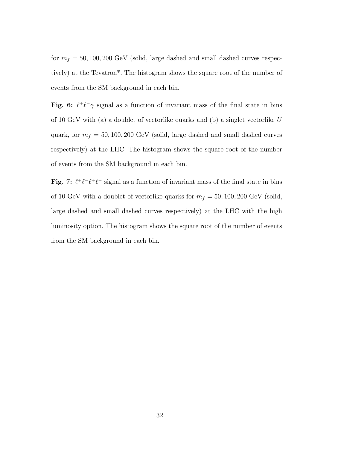for  $m_f = 50, 100, 200 \text{ GeV}$  (solid, large dashed and small dashed curves respectively) at the Tevatron\*. The histogram shows the square root of the number of events from the SM background in each bin.

Fig. 6:  $\ell^+ \ell^- \gamma$  signal as a function of invariant mass of the final state in bins of 10 GeV with (a) a doublet of vectorlike quarks and (b) a singlet vectorlike  $U$ quark, for  $m_f = 50, 100, 200 \text{ GeV}$  (solid, large dashed and small dashed curves respectively) at the LHC. The histogram shows the square root of the number of events from the SM background in each bin.

Fig. 7:  $\ell^+\ell^-\ell^+\ell^-$  signal as a function of invariant mass of the final state in bins of 10 GeV with a doublet of vectorlike quarks for  $m_f = 50, 100, 200$  GeV (solid, large dashed and small dashed curves respectively) at the LHC with the high luminosity option. The histogram shows the square root of the number of events from the SM background in each bin.